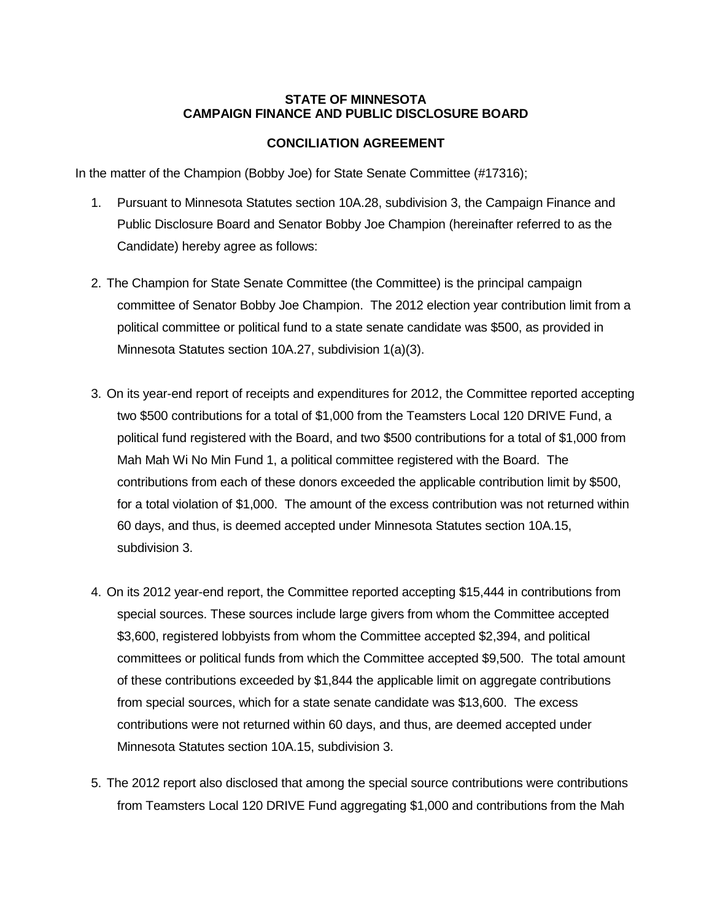## **STATE OF MINNESOTA CAMPAIGN FINANCE AND PUBLIC DISCLOSURE BOARD**

## **CONCILIATION AGREEMENT**

In the matter of the Champion (Bobby Joe) for State Senate Committee (#17316);

- 1. Pursuant to Minnesota Statutes section 10A.28, subdivision 3, the Campaign Finance and Public Disclosure Board and Senator Bobby Joe Champion (hereinafter referred to as the Candidate) hereby agree as follows:
- 2. The Champion for State Senate Committee (the Committee) is the principal campaign committee of Senator Bobby Joe Champion. The 2012 election year contribution limit from a political committee or political fund to a state senate candidate was \$500, as provided in Minnesota Statutes section 10A.27, subdivision 1(a)(3).
- 3. On its year-end report of receipts and expenditures for 2012, the Committee reported accepting two \$500 contributions for a total of \$1,000 from the Teamsters Local 120 DRIVE Fund, a political fund registered with the Board, and two \$500 contributions for a total of \$1,000 from Mah Mah Wi No Min Fund 1, a political committee registered with the Board. The contributions from each of these donors exceeded the applicable contribution limit by \$500, for a total violation of \$1,000. The amount of the excess contribution was not returned within 60 days, and thus, is deemed accepted under Minnesota Statutes section 10A.15, subdivision 3.
- 4. On its 2012 year-end report, the Committee reported accepting \$15,444 in contributions from special sources. These sources include large givers from whom the Committee accepted \$3,600, registered lobbyists from whom the Committee accepted \$2,394, and political committees or political funds from which the Committee accepted \$9,500. The total amount of these contributions exceeded by \$1,844 the applicable limit on aggregate contributions from special sources, which for a state senate candidate was \$13,600. The excess contributions were not returned within 60 days, and thus, are deemed accepted under Minnesota Statutes section 10A.15, subdivision 3.
- 5. The 2012 report also disclosed that among the special source contributions were contributions from Teamsters Local 120 DRIVE Fund aggregating \$1,000 and contributions from the Mah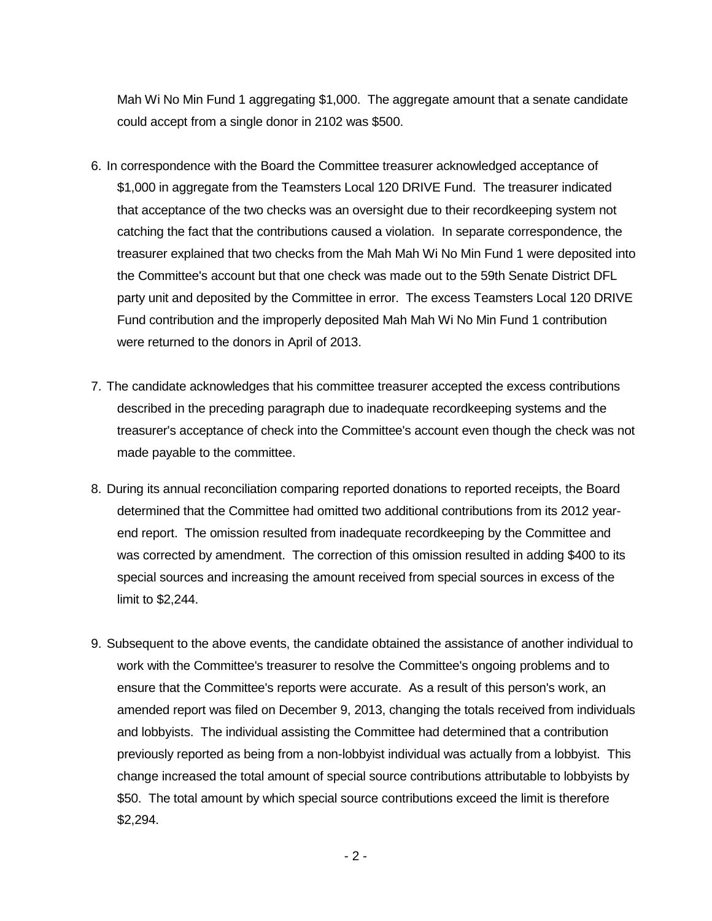Mah Wi No Min Fund 1 aggregating \$1,000. The aggregate amount that a senate candidate could accept from a single donor in 2102 was \$500.

- 6. In correspondence with the Board the Committee treasurer acknowledged acceptance of \$1,000 in aggregate from the Teamsters Local 120 DRIVE Fund. The treasurer indicated that acceptance of the two checks was an oversight due to their recordkeeping system not catching the fact that the contributions caused a violation. In separate correspondence, the treasurer explained that two checks from the Mah Mah Wi No Min Fund 1 were deposited into the Committee's account but that one check was made out to the 59th Senate District DFL party unit and deposited by the Committee in error. The excess Teamsters Local 120 DRIVE Fund contribution and the improperly deposited Mah Mah Wi No Min Fund 1 contribution were returned to the donors in April of 2013.
- 7. The candidate acknowledges that his committee treasurer accepted the excess contributions described in the preceding paragraph due to inadequate recordkeeping systems and the treasurer's acceptance of check into the Committee's account even though the check was not made payable to the committee.
- 8. During its annual reconciliation comparing reported donations to reported receipts, the Board determined that the Committee had omitted two additional contributions from its 2012 yearend report. The omission resulted from inadequate recordkeeping by the Committee and was corrected by amendment. The correction of this omission resulted in adding \$400 to its special sources and increasing the amount received from special sources in excess of the limit to \$2,244.
- 9. Subsequent to the above events, the candidate obtained the assistance of another individual to work with the Committee's treasurer to resolve the Committee's ongoing problems and to ensure that the Committee's reports were accurate. As a result of this person's work, an amended report was filed on December 9, 2013, changing the totals received from individuals and lobbyists. The individual assisting the Committee had determined that a contribution previously reported as being from a non-lobbyist individual was actually from a lobbyist. This change increased the total amount of special source contributions attributable to lobbyists by \$50. The total amount by which special source contributions exceed the limit is therefore \$2,294.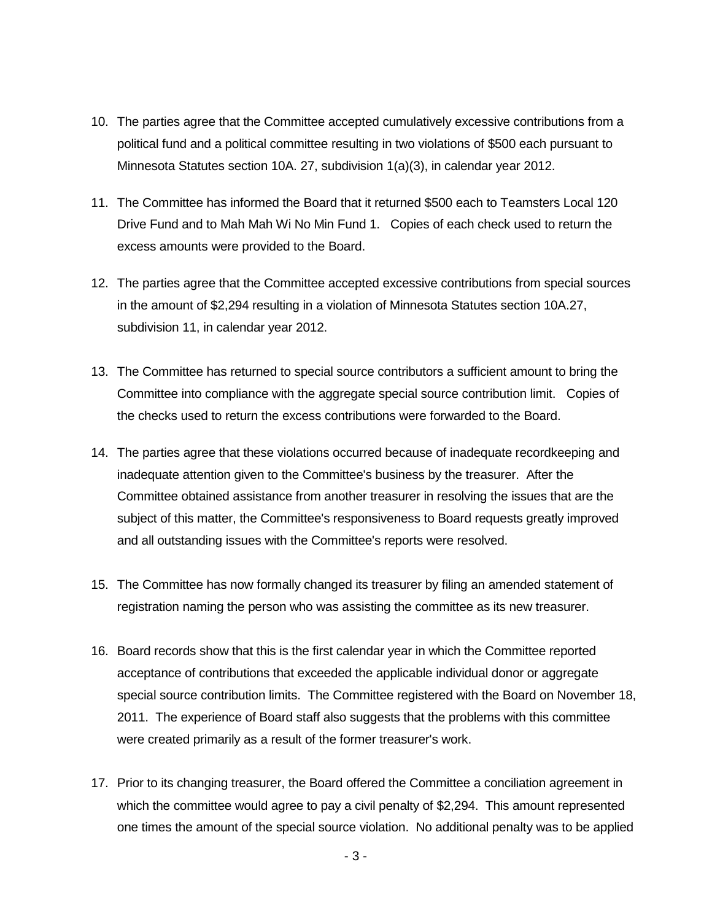- 10. The parties agree that the Committee accepted cumulatively excessive contributions from a political fund and a political committee resulting in two violations of \$500 each pursuant to Minnesota Statutes section 10A. 27, subdivision 1(a)(3), in calendar year 2012.
- 11. The Committee has informed the Board that it returned \$500 each to Teamsters Local 120 Drive Fund and to Mah Mah Wi No Min Fund 1. Copies of each check used to return the excess amounts were provided to the Board.
- 12. The parties agree that the Committee accepted excessive contributions from special sources in the amount of \$2,294 resulting in a violation of Minnesota Statutes section 10A.27, subdivision 11, in calendar year 2012.
- 13. The Committee has returned to special source contributors a sufficient amount to bring the Committee into compliance with the aggregate special source contribution limit. Copies of the checks used to return the excess contributions were forwarded to the Board.
- 14. The parties agree that these violations occurred because of inadequate recordkeeping and inadequate attention given to the Committee's business by the treasurer. After the Committee obtained assistance from another treasurer in resolving the issues that are the subject of this matter, the Committee's responsiveness to Board requests greatly improved and all outstanding issues with the Committee's reports were resolved.
- 15. The Committee has now formally changed its treasurer by filing an amended statement of registration naming the person who was assisting the committee as its new treasurer.
- 16. Board records show that this is the first calendar year in which the Committee reported acceptance of contributions that exceeded the applicable individual donor or aggregate special source contribution limits. The Committee registered with the Board on November 18, 2011. The experience of Board staff also suggests that the problems with this committee were created primarily as a result of the former treasurer's work.
- 17. Prior to its changing treasurer, the Board offered the Committee a conciliation agreement in which the committee would agree to pay a civil penalty of \$2,294. This amount represented one times the amount of the special source violation. No additional penalty was to be applied